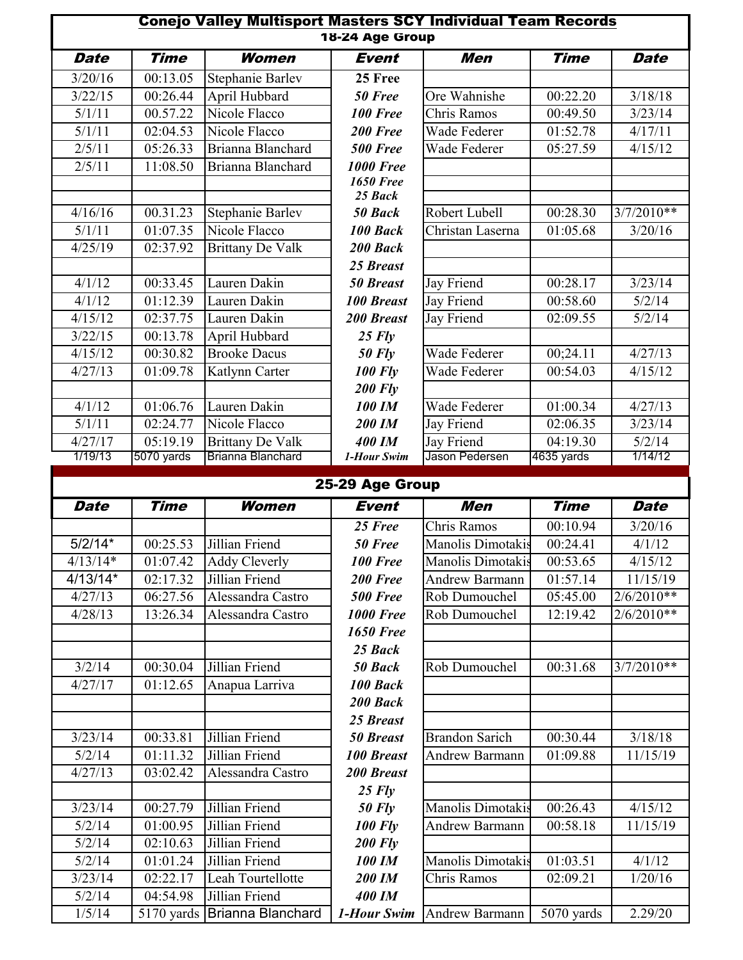|             |             | <b>Conejo Valley Multisport Masters SCY Individual Team Records</b> | 18-24 Age Group                 |                       |                       |              |
|-------------|-------------|---------------------------------------------------------------------|---------------------------------|-----------------------|-----------------------|--------------|
| <b>Date</b> | <b>Time</b> | Women                                                               | <b>Event</b>                    | Men                   | <b>Time</b>           | <b>Date</b>  |
| 3/20/16     | 00:13.05    | Stephanie Barlev                                                    | 25 Free                         |                       |                       |              |
| 3/22/15     | 00:26.44    | April Hubbard                                                       | 50 Free                         | Ore Wahnishe          | 00:22.20              | 3/18/18      |
| 5/1/11      | 00.57.22    | Nicole Flacco                                                       | 100 Free                        | Chris Ramos           | 00:49.50              | 3/23/14      |
| 5/1/11      | 02:04.53    | Nicole Flacco                                                       | 200 Free                        | Wade Federer          | 01:52.78              | 4/17/11      |
| 2/5/11      | 05:26.33    | Brianna Blanchard                                                   | <b>500 Free</b>                 | Wade Federer          | 05:27.59              | 4/15/12      |
| 2/5/11      | 11:08.50    | Brianna Blanchard                                                   | <b>1000 Free</b>                |                       |                       |              |
|             |             |                                                                     | <b>1650 Free</b>                |                       |                       |              |
|             |             |                                                                     | 25 Back                         |                       |                       |              |
| 4/16/16     | 00.31.23    | <b>Stephanie Barlev</b>                                             | 50 Back                         | Robert Lubell         | 00:28.30              | $3/7/2010**$ |
| 5/1/11      | 01:07.35    | Nicole Flacco                                                       | 100 Back                        | Christan Laserna      | 01:05.68              | 3/20/16      |
| 4/25/19     | 02:37.92    | <b>Brittany De Valk</b>                                             | 200 Back                        |                       |                       |              |
|             |             |                                                                     | 25 Breast                       |                       |                       |              |
| 4/1/12      | 00:33.45    | Lauren Dakin                                                        | <b>50 Breast</b>                | Jay Friend            | 00:28.17              | 3/23/14      |
| 4/1/12      | 01:12.39    | Lauren Dakin                                                        | <b>100 Breast</b>               | Jay Friend            | 00:58.60              | 5/2/14       |
| 4/15/12     | 02:37.75    | Lauren Dakin                                                        | <b>200 Breast</b>               | Jay Friend            | 02:09.55              | 5/2/14       |
| 3/22/15     | 00:13.78    | April Hubbard                                                       | $25$ Fly                        |                       |                       |              |
| 4/15/12     | 00:30.82    | <b>Brooke Dacus</b>                                                 | $50$ Fly                        | Wade Federer          | 00;24.11              | 4/27/13      |
| 4/27/13     | 01:09.78    | Katlynn Carter                                                      | <b>100 Fly</b>                  | Wade Federer          | 00:54.03              | 4/15/12      |
|             |             |                                                                     | <b>200 Fly</b>                  |                       |                       |              |
| 4/1/12      | 01:06.76    | Lauren Dakin                                                        | <b>100 IM</b>                   | Wade Federer          | 01:00.34              | 4/27/13      |
| 5/1/11      | 02:24.77    | Nicole Flacco                                                       | 200 IM                          | Jay Friend            | 02:06.35              | 3/23/14      |
| 4/27/17     | 05:19.19    | Brittany De Valk                                                    | <b>400 IM</b>                   | Jay Friend            | 04:19.30              | 5/2/14       |
| 1/19/13     | 5070 yards  | Brianna Blanchard                                                   | 1-Hour Swim                     | Jason Pedersen        | 4635 yards            | 1/14/12      |
|             |             |                                                                     |                                 |                       |                       |              |
|             | <b>Time</b> | Women                                                               | 25-29 Age Group<br><b>Event</b> | <b>Men</b>            | <b>Time</b>           |              |
| <b>Date</b> |             |                                                                     |                                 |                       |                       | <b>Date</b>  |
|             |             |                                                                     | 25 Free                         | Chris Ramos           | 00:10.94              | 3/20/16      |
| $5/2/14*$   | 00:25.53    | Jillian Friend                                                      | 50 Free                         | Manolis Dimotakis     | 00:24.41              | 4/1/12       |
| $4/13/14*$  | 01:07.42    | <b>Addy Cleverly</b>                                                | <b>100 Free</b>                 | Manolis Dimotakis     | 00:53.65              | 4/15/12      |
| $4/13/14*$  | 02:17.32    | Jillian Friend                                                      | 200 Free                        | <b>Andrew Barmann</b> | 01:57.14              | 11/15/19     |
| 4/27/13     | 06:27.56    | Alessandra Castro                                                   | <b>500 Free</b>                 | Rob Dumouchel         | 05:45.00              | 2/6/2010**   |
| 4/28/13     | 13:26.34    | Alessandra Castro                                                   | <b>1000 Free</b>                | Rob Dumouchel         | 12:19.42              | $2/6/2010**$ |
|             |             |                                                                     | <b>1650 Free</b>                |                       |                       |              |
|             |             |                                                                     | 25 Back                         |                       |                       |              |
| 3/2/14      | 00:30.04    | Jillian Friend                                                      | 50 Back                         | Rob Dumouchel         | 00:31.68              | $3/7/2010**$ |
| 4/27/17     | 01:12.65    | Anapua Larriva                                                      | 100 Back                        |                       |                       |              |
|             |             |                                                                     | 200 Back                        |                       |                       |              |
|             |             |                                                                     | 25 Breast                       |                       |                       |              |
| 3/23/14     | 00:33.81    | Jillian Friend                                                      | <b>50 Breast</b>                | <b>Brandon Sarich</b> | 00:30.44              | 3/18/18      |
| 5/2/14      | 01:11.32    | Jillian Friend                                                      | <b>100 Breast</b>               | <b>Andrew Barmann</b> | 01:09.88              | 11/15/19     |
| 4/27/13     | 03:02.42    | Alessandra Castro                                                   | 200 Breast                      |                       |                       |              |
|             |             |                                                                     | $25$ Fly                        |                       |                       |              |
| 3/23/14     | 00:27.79    | Jillian Friend                                                      | <b>50 Fly</b>                   | Manolis Dimotakis     | $\overline{00:}26.43$ | 4/15/12      |
| 5/2/14      | 01:00.95    | Jillian Friend                                                      | <b>100 Fly</b>                  | <b>Andrew Barmann</b> | 00:58.18              | 11/15/19     |
| 5/2/14      | 02:10.63    | Jillian Friend                                                      | <b>200 Fly</b>                  |                       |                       |              |
| 5/2/14      | 01:01.24    | Jillian Friend                                                      | <b>100 IM</b>                   | Manolis Dimotakis     | 01:03.51              | 4/1/12       |
| 3/23/14     | 02:22.17    | Leah Tourtellotte                                                   | 200 IM                          | Chris Ramos           | 02:09.21              | 1/20/16      |
|             |             |                                                                     |                                 |                       |                       |              |
| 5/2/14      | 04:54.98    | Jillian Friend                                                      | <b>400 IM</b>                   |                       |                       |              |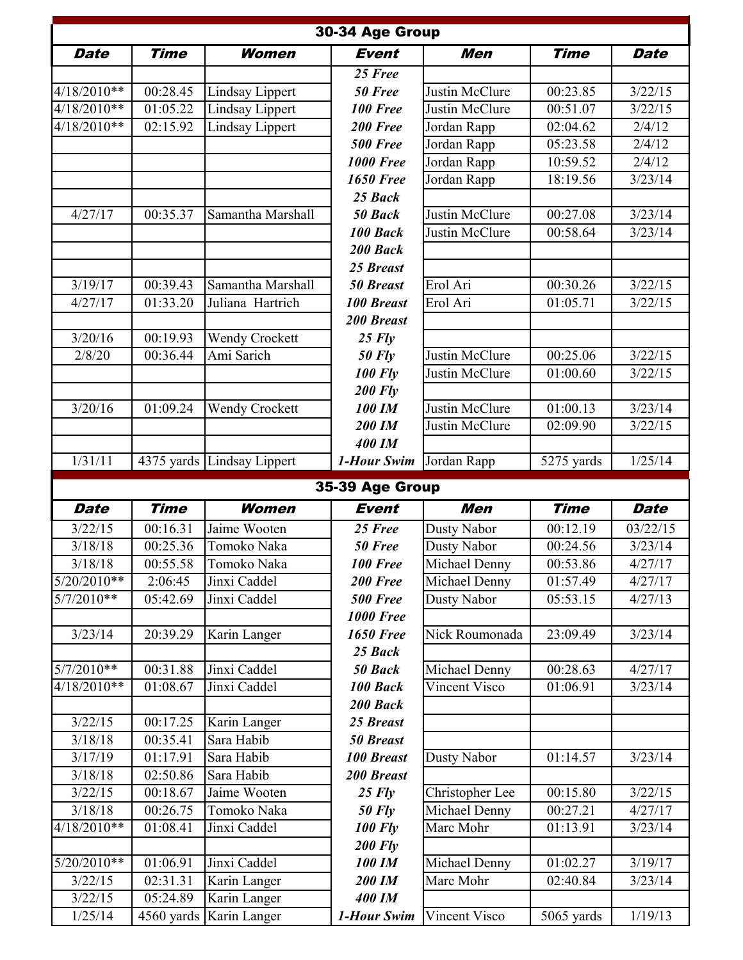|                    |                        |                              | 30-34 Age Group              |                    |             |             |
|--------------------|------------------------|------------------------------|------------------------------|--------------------|-------------|-------------|
| <b>Date</b>        | <b>Time</b>            | Women                        | <b>Event</b>                 | Men                | <b>Time</b> | <b>Date</b> |
|                    |                        |                              | 25 Free                      |                    |             |             |
| $4/18/2010**$      | 00:28.45               | Lindsay Lippert              | 50 Free                      | Justin McClure     | 00:23.85    | 3/22/15     |
| 4/18/2010**        | 01:05.22               | Lindsay Lippert              | <b>100 Free</b>              | Justin McClure     | 00:51.07    | 3/22/15     |
| 4/18/2010**        | 02:15.92               | Lindsay Lippert              | 200 Free                     | Jordan Rapp        | 02:04.62    | 2/4/12      |
|                    |                        |                              | <b>500 Free</b>              | Jordan Rapp        | 05:23.58    | 2/4/12      |
|                    |                        |                              | <b>1000 Free</b>             | Jordan Rapp        | 10:59.52    | 2/4/12      |
|                    |                        |                              | <b>1650 Free</b>             | Jordan Rapp        | 18:19.56    | 3/23/14     |
|                    |                        |                              | 25 Back                      |                    |             |             |
| 4/27/17            | 00:35.37               | Samantha Marshall            | 50 Back                      | Justin McClure     | 00:27.08    | 3/23/14     |
|                    |                        |                              | 100 Back                     | Justin McClure     | 00:58.64    | 3/23/14     |
|                    |                        |                              | 200 Back                     |                    |             |             |
|                    |                        |                              | 25 Breast                    |                    |             |             |
| 3/19/17            | 00:39.43               | Samantha Marshall            | <b>50 Breast</b>             | Erol Ari           | 00:30.26    | 3/22/15     |
| 4/27/17            | 01:33.20               | Juliana Hartrich             | <b>100 Breast</b>            | Erol Ari           | 01:05.71    | 3/22/15     |
|                    |                        |                              | <b>200 Breast</b>            |                    |             |             |
| 3/20/16            | 00:19.93               | <b>Wendy Crockett</b>        | $25$ $Flv$                   |                    |             |             |
| 2/8/20             | 00:36.44               | Ami Sarich                   | $50$ Fly                     | Justin McClure     | 00:25.06    | 3/22/15     |
|                    |                        |                              | <b>100 Fly</b>               | Justin McClure     | 01:00.60    | 3/22/15     |
|                    |                        |                              | <b>200 Fly</b>               |                    |             |             |
| 3/20/16            | 01:09.24               | <b>Wendy Crockett</b>        | 100 IM                       | Justin McClure     | 01:00.13    | 3/23/14     |
|                    |                        |                              | 200 IM                       | Justin McClure     | 02:09.90    | 3/22/15     |
|                    |                        |                              | <b>400 IM</b>                |                    |             |             |
| 1/31/11            |                        | 4375 yards Lindsay Lippert   | 1-Hour Swim                  | Jordan Rapp        | 5275 yards  | 1/25/14     |
|                    |                        |                              | 35-39 Age Group              |                    |             |             |
| <b>Date</b>        | <b>Time</b>            | Women                        | <b>Event</b>                 |                    |             |             |
|                    |                        |                              |                              | <b>Men</b>         | <b>Time</b> | <b>Date</b> |
| 3/22/15            | 00:16.31               | Jaime Wooten                 | 25 Free                      | Dusty Nabor        | 00:12.19    | 03/22/15    |
| 3/18/18            | 00:25.36               | Tomoko Naka                  | 50 Free                      | Dusty Nabor        | 00:24.56    | 3/23/14     |
| 3/18/18            | 00:55.58               | Tomoko Naka                  | <b>100 Free</b>              | Michael Denny      | 00:53.86    | 4/27/17     |
| $5/20/2010**$      | 2:06:45                | Jinxi Caddel                 | 200 Free                     | Michael Denny      | 01:57.49    | 4/27/17     |
| $5/7/2010**$       | 05:42.69               | Jinxi Caddel                 | <b>500 Free</b>              | <b>Dusty Nabor</b> | 05:53.15    | 4/27/13     |
|                    |                        |                              | <b>1000 Free</b>             |                    |             |             |
| 3/23/14            | 20:39.29               | Karin Langer                 | <b>1650 Free</b>             | Nick Roumonada     | 23:09.49    | 3/23/14     |
|                    |                        |                              | 25 Back                      |                    |             |             |
| $5/7/2010**$       | 00:31.88               | Jinxi Caddel                 | 50 Back                      | Michael Denny      | 00:28.63    | 4/27/17     |
| $4/18/2010**$      | 01:08.67               | Jinxi Caddel                 | 100 Back                     | Vincent Visco      | 01:06.91    | 3/23/14     |
|                    |                        |                              | 200 Back                     |                    |             |             |
| 3/22/15            | 00:17.25               | Karin Langer                 | 25 Breast                    |                    |             |             |
| 3/18/18            | 00:35.41               | Sara Habib                   | <b>50 Breast</b>             |                    |             |             |
| 3/17/19            | 01:17.91               | Sara Habib                   | <b>100 Breast</b>            | Dusty Nabor        | 01:14.57    | 3/23/14     |
| 3/18/18            | 02:50.86               | Sara Habib                   | 200 Breast                   |                    |             |             |
| 3/22/15            | 00:18.67               | Jaime Wooten                 | $25$ Fly                     | Christopher Lee    | 00:15.80    | 3/22/15     |
| 3/18/18            | 00:26.75               | Tomoko Naka                  | <b>50 Fly</b>                | Michael Denny      | 00:27.21    | 4/27/17     |
| 4/18/2010**        | 01:08.41               | Jinxi Caddel                 | <b>100 Fly</b>               | Marc Mohr          | 01:13.91    | 3/23/14     |
|                    |                        |                              | <b>200 Fly</b>               |                    |             |             |
| $5/20/2010**$      | 01:06.91               | Jinxi Caddel                 | 100 IM                       | Michael Denny      | 01:02.27    | 3/19/17     |
| 3/22/15            | 02:31.31               | Karin Langer                 | 200 IM                       | Marc Mohr          | 02:40.84    | 3/23/14     |
| 3/22/15<br>1/25/14 | 05:24.89<br>4560 yards | Karin Langer<br>Karin Langer | <b>400 IM</b><br>1-Hour Swim | Vincent Visco      | 5065 yards  | 1/19/13     |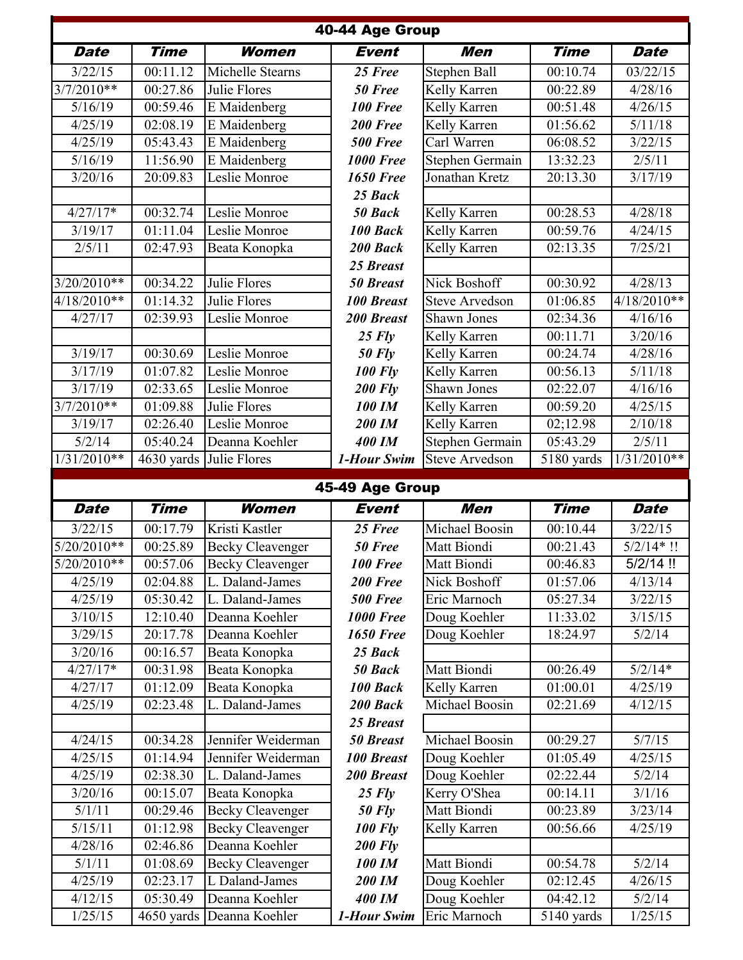|                    |                         |                                           | 40-44 Age Group                 |                              |                      |                         |
|--------------------|-------------------------|-------------------------------------------|---------------------------------|------------------------------|----------------------|-------------------------|
| <b>Date</b>        | <b>Time</b>             | Women                                     | <b>Event</b>                    | Men                          | <b>Time</b>          | <b>Date</b>             |
| 3/22/15            | 00:11.12                | Michelle Stearns                          | 25 Free                         | Stephen Ball                 | 00:10.74             | 03/22/15                |
| $3/7/2010**$       | 00:27.86                | Julie Flores                              | 50 Free                         | Kelly Karren                 | 00:22.89             | 4/28/16                 |
| 5/16/19            | 00:59.46                | E Maidenberg                              | 100 Free                        | Kelly Karren                 | 00:51.48             | 4/26/15                 |
| 4/25/19            | 02:08.19                | E Maidenberg                              | 200 Free                        | Kelly Karren                 | 01:56.62             | 5/11/18                 |
| 4/25/19            | 05:43.43                | E Maidenberg                              | <b>500 Free</b>                 | Carl Warren                  | 06:08.52             | 3/22/15                 |
| 5/16/19            | 11:56.90                | E Maidenberg                              | <b>1000 Free</b>                | <b>Stephen Germain</b>       | 13:32.23             | 2/5/11                  |
| 3/20/16            | 20:09.83                | Leslie Monroe                             | <b>1650 Free</b>                | Jonathan Kretz               | 20:13.30             | 3/17/19                 |
|                    |                         |                                           | 25 Back                         |                              |                      |                         |
| $4/27/17*$         | 00:32.74                | Leslie Monroe                             | 50 Back                         | Kelly Karren                 | 00:28.53             | 4/28/18                 |
| 3/19/17            | 01:11.04                | Leslie Monroe                             | 100 Back                        | Kelly Karren                 | 00:59.76             | 4/24/15                 |
| 2/5/11             | 02:47.93                | Beata Konopka                             | 200 Back                        | Kelly Karren                 | 02:13.35             | 7/25/21                 |
|                    |                         |                                           | 25 Breast                       |                              |                      |                         |
| $3/20/2010**$      | 00:34.22                | Julie Flores                              | <b>50 Breast</b>                | Nick Boshoff                 | 00:30.92             | 4/28/13                 |
| 4/18/2010**        | 01:14.32                | Julie Flores                              | <b>100 Breast</b>               | <b>Steve Arvedson</b>        | 01:06.85             | 4/18/2010**             |
| 4/27/17            | 02:39.93                | Leslie Monroe                             | 200 Breast                      | Shawn Jones                  | 02:34.36             | 4/16/16                 |
|                    |                         |                                           | $25$ Fly                        | Kelly Karren                 | 00:11.71             | 3/20/16                 |
| 3/19/17            | 00:30.69                | Leslie Monroe                             | $50$ Fly                        | Kelly Karren                 | 00:24.74             | 4/28/16                 |
| 3/17/19            | 01:07.82                | Leslie Monroe                             | <b>100 Fly</b>                  | Kelly Karren                 | 00:56.13             | 5/11/18                 |
| 3/17/19            | 02:33.65                | Leslie Monroe                             | $200$ Fly                       | Shawn Jones                  | 02:22.07             | 4/16/16                 |
| $3/7/2010**$       | 01:09.88                | Julie Flores                              | <b>100 IM</b>                   | Kelly Karren                 | 00:59.20             | 4/25/15                 |
| 3/19/17            | 02:26.40                | Leslie Monroe                             | 200 IM                          | Kelly Karren                 | 02;12.98             | 2/10/18                 |
| 5/2/14             | 05:40.24                | Deanna Koehler                            | <b>400 IM</b>                   | Stephen Germain              | 05:43.29             | 2/5/11                  |
| $1/31/2010**$      | $\overline{4630}$ yards | Julie Flores                              | 1-Hour Swim                     | <b>Steve Arvedson</b>        | 5180 yards           | $1/31/2010**$           |
|                    |                         |                                           |                                 |                              |                      |                         |
|                    |                         |                                           |                                 |                              |                      |                         |
| <b>Date</b>        | <b>Time</b>             | Women                                     | 45-49 Age Group<br><b>Event</b> | Men                          | <b>Time</b>          | <b>Date</b>             |
|                    |                         |                                           |                                 |                              |                      |                         |
| 3/22/15            | 00:17.79                | Kristi Kastler                            | 25 Free                         | Michael Boosin               | 00:10.44             | 3/22/15                 |
| $5/20/2010**$      | 00:25.89                | <b>Becky Cleavenger</b>                   | 50 Free                         | Matt Biondi                  | 00:21.43             | $\frac{1}{5/2}/14$ * !! |
| 5/20/2010**        | 00:57.06                | <b>Becky Cleavenger</b>                   | 100 Free                        | Matt Biondi                  | 00:46.83             | $5/2/14$ !!             |
| 4/25/19            | 02:04.88                | L. Daland-James                           | 200 Free                        | Nick Boshoff                 | 01:57.06             | 4/13/14                 |
| 4/25/19            | 05:30.42                | L. Daland-James                           | <b>500 Free</b>                 | Eric Marnoch                 | 05:27.34             | 3/22/15                 |
| 3/10/15            | 12:10.40                | Deanna Koehler                            | <b>1000 Free</b>                | Doug Koehler                 | 11:33.02             | 3/15/15                 |
| 3/29/15            | 20:17.78                | Deanna Koehler                            | <b>1650 Free</b>                | Doug Koehler                 | 18:24.97             | 5/2/14                  |
| 3/20/16            | 00:16.57                | Beata Konopka                             | 25 Back                         |                              |                      |                         |
| $4/27/17*$         | 00:31.98                | Beata Konopka                             | 50 Back                         | Matt Biondi                  | 00:26.49             | $5/2/14*$               |
| 4/27/17            | 01:12.09                | Beata Konopka                             | 100 Back                        | Kelly Karren                 | 01:00.01             | 4/25/19                 |
| 4/25/19            | 02:23.48                | L. Daland-James                           | 200 Back                        | Michael Boosin               | 02:21.69             | 4/12/15                 |
|                    |                         |                                           | 25 Breast                       |                              |                      |                         |
| 4/24/15            | 00:34.28                | Jennifer Weiderman                        | <b>50 Breast</b>                | Michael Boosin               | 00:29.27             | 5/7/15                  |
| 4/25/15<br>4/25/19 | 01:14.94<br>02:38.30    | Jennifer Weiderman<br>L. Daland-James     | <b>100 Breast</b><br>200 Breast | Doug Koehler                 | 01:05.49             | 4/25/15                 |
|                    |                         |                                           |                                 | Doug Koehler                 | 02:22.44             | 5/2/14                  |
| 3/20/16<br>5/1/11  | 00:15.07<br>00:29.46    | Beata Konopka                             | $25$ Fly                        | Kerry O'Shea<br>Matt Biondi  | 00:14.11<br>00:23.89 | 3/1/16<br>3/23/14       |
|                    |                         | <b>Becky Cleavenger</b>                   | $50$ Fly                        |                              | 00:56.66             | 4/25/19                 |
| 5/15/11            | 01:12.98                | <b>Becky Cleavenger</b><br>Deanna Koehler | <b>100 Fly</b>                  | Kelly Karren                 |                      |                         |
| 4/28/16            | 02:46.86                |                                           | <b>200 Fly</b>                  | Matt Biondi                  |                      |                         |
| 5/1/11<br>4/25/19  | 01:08.69<br>02:23.17    | <b>Becky Cleavenger</b><br>L Daland-James | 100 IM<br>200 IM                |                              | 00:54.78<br>02:12.45 | 5/2/14                  |
| 4/12/15            | 05:30.49                | Deanna Koehler                            | <b>400 IM</b>                   | Doug Koehler<br>Doug Koehler | 04:42.12             | 4/26/15<br>5/2/14       |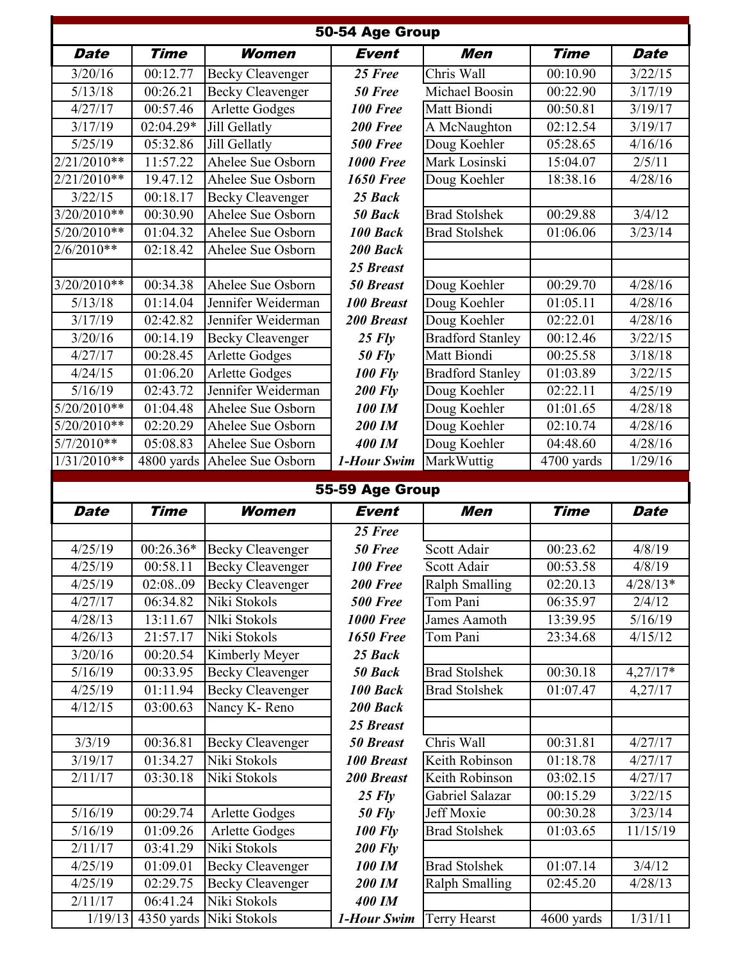| 50-54 Age Group    |                         |                                         |                         |                         |                       |             |  |
|--------------------|-------------------------|-----------------------------------------|-------------------------|-------------------------|-----------------------|-------------|--|
| <b>Date</b>        | <b>Time</b>             | Women                                   | <b>Event</b>            | Men                     | <b>Time</b>           | <b>Date</b> |  |
| 3/20/16            | 00:12.77                | <b>Becky Cleavenger</b>                 | 25 Free                 | Chris Wall              | 00:10.90              | 3/22/15     |  |
| 5/13/18            | 00:26.21                | <b>Becky Cleavenger</b>                 | 50 Free                 | Michael Boosin          | 00:22.90              | 3/17/19     |  |
| 4/27/17            | 00:57.46                | <b>Arlette Godges</b>                   | <b>100 Free</b>         | Matt Biondi             | 00:50.81              | 3/19/17     |  |
| 3/17/19            | 02:04.29*               | Jill Gellatly                           | 200 Free                | A McNaughton            | 02:12.54              | 3/19/17     |  |
| 5/25/19            | 05:32.86                | Jill Gellatly                           | <b>500 Free</b>         | Doug Koehler            | 05:28.65              | 4/16/16     |  |
| $2/21/2010**$      | 11:57.22                | Ahelee Sue Osborn                       | <b>1000 Free</b>        | Mark Losinski           | 15:04.07              | 2/5/11      |  |
| $2/21/2010**$      | 19.47.12                | Ahelee Sue Osborn                       | <b>1650 Free</b>        | Doug Koehler            | 18:38.16              | 4/28/16     |  |
| 3/22/15            | 00:18.17                | <b>Becky Cleavenger</b>                 | 25 Back                 |                         |                       |             |  |
| 3/20/2010**        | 00:30.90                | Ahelee Sue Osborn                       | 50 Back                 | <b>Brad Stolshek</b>    | 00:29.88              | 3/4/12      |  |
| $5/20/2010**$      | 01:04.32                | Ahelee Sue Osborn                       | 100 Back                | <b>Brad Stolshek</b>    | 01:06.06              | 3/23/14     |  |
| $2/6/2010**$       | 02:18.42                | Ahelee Sue Osborn                       | 200 Back                |                         |                       |             |  |
|                    |                         |                                         | 25 Breast               |                         |                       |             |  |
| $3/20/2010**$      | 00:34.38                | Ahelee Sue Osborn                       | <b>50 Breast</b>        | Doug Koehler            | 00:29.70              | 4/28/16     |  |
| 5/13/18            | 01:14.04                | Jennifer Weiderman                      | <b>100 Breast</b>       | Doug Koehler            | 01:05.11              | 4/28/16     |  |
| 3/17/19            | 02:42.82                | Jennifer Weiderman                      | <b>200 Breast</b>       | Doug Koehler            | 02:22.01              | 4/28/16     |  |
| 3/20/16            | 00:14.19                | <b>Becky Cleavenger</b>                 | $25$ Fly                | <b>Bradford Stanley</b> | 00:12.46              | 3/22/15     |  |
| 4/27/17            | 00:28.45                | <b>Arlette Godges</b>                   | $50$ Fly                | Matt Biondi             | 00:25.58              | 3/18/18     |  |
| 4/24/15            | 01:06.20                | <b>Arlette Godges</b>                   | <b>100 Fly</b>          | <b>Bradford Stanley</b> | 01:03.89              | 3/22/15     |  |
| 5/16/19            | 02:43.72                | Jennifer Weiderman                      | $200$ Fly               | Doug Koehler            | 02:22.11              | 4/25/19     |  |
| $5/20/2010**$      | 01:04.48                | Ahelee Sue Osborn                       | <b>100 IM</b>           | Doug Koehler            | 01:01.65              | 4/28/18     |  |
| $5/20/2010**$      | 02:20.29                | Ahelee Sue Osborn                       | 200 IM                  | Doug Koehler            | 02:10.74              | 4/28/16     |  |
| $5/7/2010**$       | 05:08.83                | Ahelee Sue Osborn                       | <b>400 IM</b>           | Doug Koehler            | 04:48.60              | 4/28/16     |  |
| $1/31/2010**$      | $\overline{4800}$ yards | Ahelee Sue Osborn                       | 1-Hour Swim             | MarkWuttig              | 4700 yards            | 1/29/16     |  |
|                    |                         |                                         |                         |                         |                       |             |  |
|                    |                         |                                         |                         |                         |                       |             |  |
|                    |                         |                                         | 55-59 Age Group         |                         |                       |             |  |
| <b>Date</b>        | <b>Time</b>             | Women                                   | <b>Event</b>            | <b>Men</b>              | <b>Time</b>           | <b>Date</b> |  |
|                    |                         |                                         | 25 Free                 |                         |                       |             |  |
| 4/25/19            | $00:26.36*$             | <b>Becky Cleavenger</b>                 | 50 Free                 | Scott Adair             | 00:23.62              | 4/8/19      |  |
| 4/25/19            | 00:58.11                | <b>Becky Cleavenger</b>                 | <b>100 Free</b>         | Scott Adair             | 00:53.58              | 4/8/19      |  |
| 4/25/19            | 02:0809                 | <b>Becky Cleavenger</b>                 | 200 Free                | <b>Ralph Smalling</b>   | 02:20.13              | $4/28/13*$  |  |
| 4/27/17            | 06:34.82                | Niki Stokols                            | <b>500 Free</b>         | Tom Pani                | 06:35.97              | 2/4/12      |  |
| 4/28/13            | 13:11.67                | Nlki Stokols                            | <b>1000 Free</b>        | James Aamoth            | 13:39.95              | 5/16/19     |  |
| 4/26/13            | 21:57.17                | Niki Stokols                            | <b>1650 Free</b>        | Tom Pani                | 23:34.68              | 4/15/12     |  |
| 3/20/16            | 00:20.54                | Kimberly Meyer                          | 25 Back                 |                         |                       |             |  |
| 5/16/19            | 00:33.95                | <b>Becky Cleavenger</b>                 | 50 Back                 | <b>Brad Stolshek</b>    | 00:30.18              | $4,27/17*$  |  |
| 4/25/19            | 01:11.94                | <b>Becky Cleavenger</b>                 | 100 Back                | <b>Brad Stolshek</b>    | 01:07.47              | 4,27/17     |  |
| 4/12/15            | 03:00.63                | Nancy K-Reno                            | 200 Back                |                         |                       |             |  |
|                    |                         |                                         | 25 Breast               |                         |                       |             |  |
| 3/3/19             | 00:36.81                | <b>Becky Cleavenger</b>                 | <b>50 Breast</b>        | Chris Wall              | 00:31.81              | 4/27/17     |  |
| 3/19/17            | 01:34.27                | Niki Stokols                            | <b>100 Breast</b>       | Keith Robinson          | 01:18.78              | 4/27/17     |  |
| 2/11/17            | 03:30.18                | Niki Stokols                            | 200 Breast              | Keith Robinson          | 03:02.15              | 4/27/17     |  |
|                    |                         |                                         | $25$ Fly                | Gabriel Salazar         | $\overline{00:}15.29$ | 3/22/15     |  |
| 5/16/19            | 00:29.74                | <b>Arlette Godges</b>                   | $50$ Fly                | Jeff Moxie              | 00:30.28              | 3/23/14     |  |
| 5/16/19            | 01:09.26                | <b>Arlette Godges</b>                   | <b>100 Fly</b>          | <b>Brad Stolshek</b>    | 01:03.65              | 11/15/19    |  |
| 2/11/17            | 03:41.29                | Niki Stokols                            | <b>200 Fly</b>          |                         |                       |             |  |
| 4/25/19            | 01:09.01                | <b>Becky Cleavenger</b>                 | 100 IM                  | <b>Brad Stolshek</b>    | 01:07.14              | 3/4/12      |  |
| 4/25/19<br>2/11/17 | 02:29.75<br>06:41.24    | <b>Becky Cleavenger</b><br>Niki Stokols | 200 IM<br><b>400 IM</b> | <b>Ralph Smalling</b>   | 02:45.20              | 4/28/13     |  |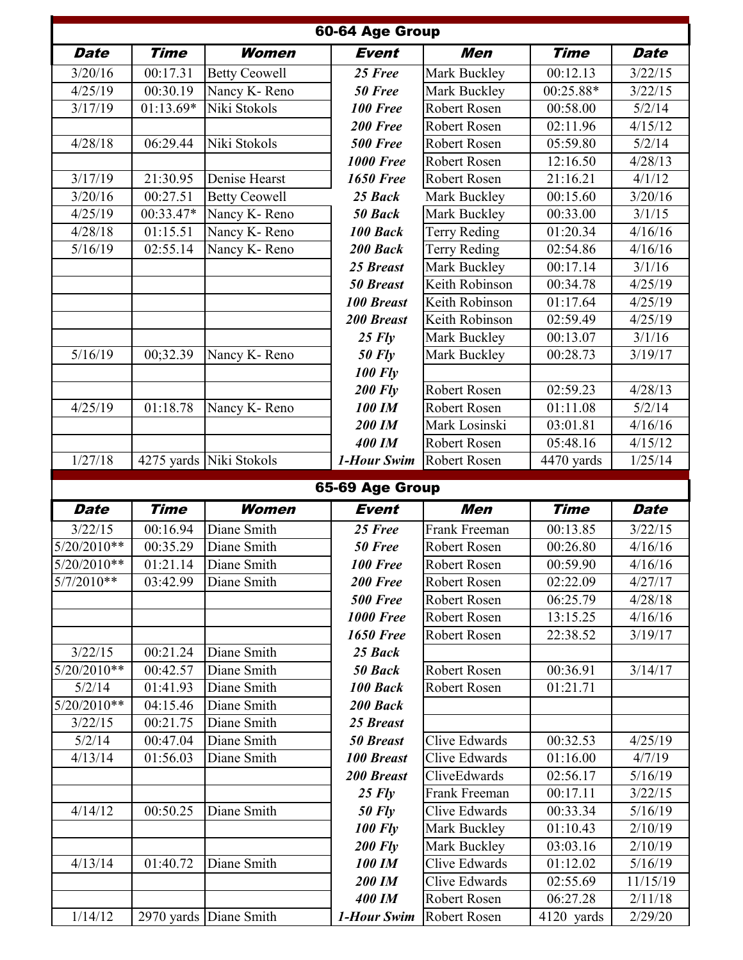|                     |             |                         | 60-64 Age Group              |                              |                        |                    |
|---------------------|-------------|-------------------------|------------------------------|------------------------------|------------------------|--------------------|
| <b>Date</b>         | <b>Time</b> | Women                   | <b>Event</b>                 | Men                          | <b>Time</b>            | <b>Date</b>        |
| $\frac{1}{3}/20/16$ | 00:17.31    | <b>Betty Ceowell</b>    | 25 Free                      | Mark Buckley                 | 00:12.13               | 3/22/15            |
| 4/25/19             | 00:30.19    | Nancy K-Reno            | 50 Free                      | Mark Buckley                 | 00:25.88*              | 3/22/15            |
| 3/17/19             | 01:13.69*   | Niki Stokols            | <b>100 Free</b>              | Robert Rosen                 | 00:58.00               | 5/2/14             |
|                     |             |                         | 200 Free                     | Robert Rosen                 | 02:11.96               | 4/15/12            |
| 4/28/18             | 06:29.44    | Niki Stokols            | <b>500 Free</b>              | Robert Rosen                 | 05:59.80               | 5/2/14             |
|                     |             |                         | <b>1000 Free</b>             | Robert Rosen                 | 12:16.50               | 4/28/13            |
| 3/17/19             | 21:30.95    | Denise Hearst           | <b>1650 Free</b>             | Robert Rosen                 | 21:16.21               | 4/1/12             |
| 3/20/16             | 00:27.51    | <b>Betty Ceowell</b>    | 25 Back                      | Mark Buckley                 | 00:15.60               | 3/20/16            |
| 4/25/19             | 00:33.47*   | Nancy K-Reno            | 50 Back                      | Mark Buckley                 | 00:33.00               | 3/1/15             |
| 4/28/18             | 01:15.51    | Nancy K-Reno            | 100 Back                     | <b>Terry Reding</b>          | 01:20.34               | 4/16/16            |
| 5/16/19             | 02:55.14    | Nancy K-Reno            | 200 Back                     | <b>Terry Reding</b>          | 02:54.86               | 4/16/16            |
|                     |             |                         | 25 Breast                    | Mark Buckley                 | $\overline{00:}17.14$  | 3/1/16             |
|                     |             |                         | <b>50 Breast</b>             | Keith Robinson               | 00:34.78               | 4/25/19            |
|                     |             |                         | <b>100 Breast</b>            | Keith Robinson               | 01:17.64               | 4/25/19            |
|                     |             |                         | <b>200 Breast</b>            | Keith Robinson               | 02:59.49               | 4/25/19            |
|                     |             |                         | $25$ Fly                     | Mark Buckley                 | 00:13.07               | $\frac{3}{1/16}$   |
| 5/16/19             | 00;32.39    | Nancy K-Reno            | $50$ Fly                     | Mark Buckley                 | 00:28.73               | 3/19/17            |
|                     |             |                         | <b>100 Fly</b>               |                              |                        |                    |
|                     |             |                         | <b>200 Fly</b>               | Robert Rosen                 | 02:59.23               | 4/28/13            |
| 4/25/19             | 01:18.78    | Nancy K-Reno            | 100 IM                       | Robert Rosen                 | $\overline{0}$ 1:11.08 | 5/2/14             |
|                     |             |                         | 200 IM                       | Mark Losinski                | 03:01.81               | 4/16/16            |
|                     |             |                         | <b>400 IM</b>                | Robert Rosen                 | 05:48.16               | 4/15/12            |
| 1/27/18             |             | 4275 yards Niki Stokols | 1-Hour Swim                  | Robert Rosen                 | 4470 yards             | 1/25/14            |
|                     |             |                         |                              |                              |                        |                    |
|                     |             |                         | 65-69 Age Group              |                              |                        |                    |
| <b>Date</b>         | <b>Time</b> | <b>Women</b>            | <b>Event</b>                 | <b>Men</b>                   | <b>Time</b>            | <b>Date</b>        |
| 3/22/15             | 00:16.94    | Diane Smith             | 25 Free                      | Frank Freeman                | 00:13.85               | 3/22/15            |
| $5/20/2010**$       | 00:35.29    | Diane Smith             | 50 Free                      | Robert Rosen                 | 00:26.80               | 4/16/16            |
| $5/20/2010**$       | 01:21.14    | Diane Smith             | <b>100 Free</b>              | Robert Rosen                 | 00:59.90               | 4/16/16            |
| $5/7/2010**$        | 03:42.99    | Diane Smith             | 200 Free                     | Robert Rosen                 | 02:22.09               | 4/27/17            |
|                     |             |                         | <b>500 Free</b>              | Robert Rosen                 | 06:25.79               | 4/28/18            |
|                     |             |                         | <b>1000 Free</b>             | Robert Rosen                 | 13:15.25               | 4/16/16            |
|                     |             |                         | <b>1650 Free</b>             | Robert Rosen                 | 22:38.52               | 3/19/17            |
| 3/22/15             | 00:21.24    | Diane Smith             | 25 Back                      |                              |                        |                    |
| 5/20/2010**         | 00:42.57    | Diane Smith             | 50 Back                      | Robert Rosen                 | 00:36.91               | 3/14/17            |
| 5/2/14              | 01:41.93    | Diane Smith             | 100 Back                     | Robert Rosen                 | 01:21.71               |                    |
| 5/20/2010**         | 04:15.46    | Diane Smith             | 200 Back                     |                              |                        |                    |
| 3/22/15             | 00:21.75    | Diane Smith             | 25 Breast                    |                              |                        |                    |
| 5/2/14              | 00:47.04    | Diane Smith             | <b>50 Breast</b>             | Clive Edwards                | 00:32.53               | 4/25/19            |
| 4/13/14             | 01:56.03    | Diane Smith             | <b>100 Breast</b>            | Clive Edwards                | 01:16.00               | 4/7/19             |
|                     |             |                         | 200 Breast                   | CliveEdwards                 | 02:56.17               | 5/16/19            |
|                     |             |                         | $25$ Fly                     | Frank Freeman                | 00:17.11               | 3/22/15            |
| 4/14/12             | 00:50.25    | Diane Smith             | $50$ Fly                     | Clive Edwards                | 00:33.34               | 5/16/19            |
|                     |             |                         | <b>100 Fly</b>               | Mark Buckley                 | $\overline{0}$ 1:10.43 | 2/10/19            |
|                     |             |                         | <b>200 Fly</b>               | Mark Buckley                 | 03:03.16               | 2/10/19            |
| 4/13/14             | 01:40.72    | Diane Smith             | 100 IM                       | <b>Clive Edwards</b>         | 01:12.02               | 5/16/19            |
|                     |             |                         | 200 IM                       | <b>Clive Edwards</b>         | 02:55.69               | 11/15/19           |
| 1/14/12             |             | 2970 yards Diane Smith  | <b>400 IM</b><br>1-Hour Swim | Robert Rosen<br>Robert Rosen | 06:27.28<br>4120 yards | 2/11/18<br>2/29/20 |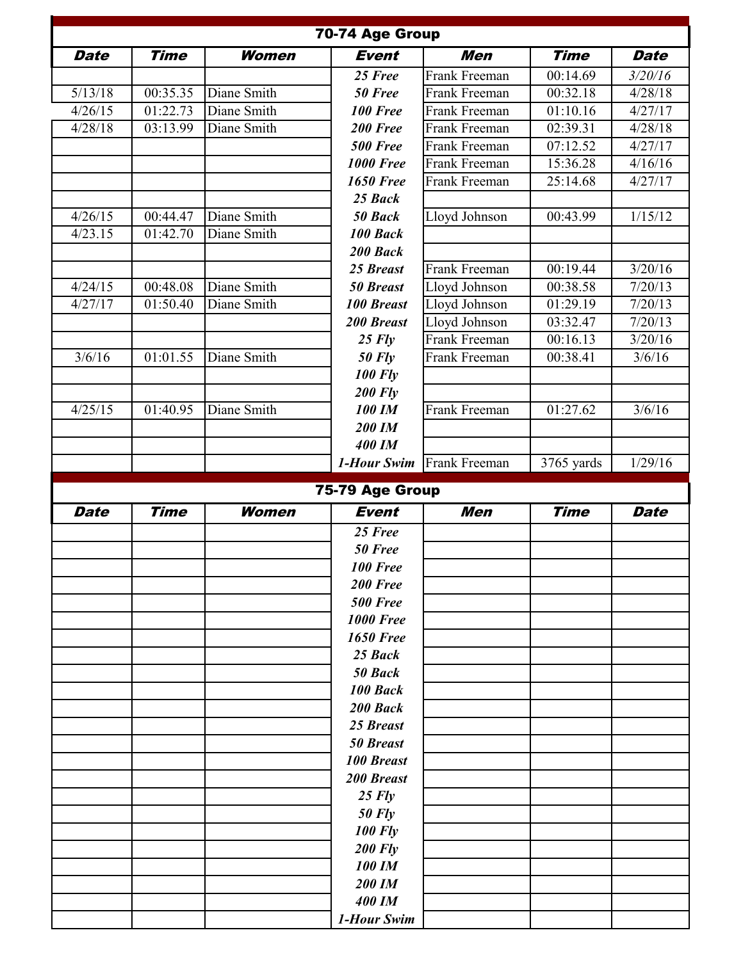|             |             |              | 70-74 Age Group                  |                      |             |             |
|-------------|-------------|--------------|----------------------------------|----------------------|-------------|-------------|
| <b>Date</b> | <b>Time</b> | <b>Women</b> | <b>Event</b>                     | Men                  | <b>Time</b> | <b>Date</b> |
|             |             |              | 25 Free                          | Frank Freeman        | 00:14.69    | 3/20/16     |
| 5/13/18     | 00:35.35    | Diane Smith  | 50 Free                          | Frank Freeman        | 00:32.18    | 4/28/18     |
| 4/26/15     | 01:22.73    | Diane Smith  | 100 Free                         | Frank Freeman        | 01:10.16    | 4/27/17     |
| 4/28/18     | 03:13.99    | Diane Smith  | 200 Free                         | Frank Freeman        | 02:39.31    | 4/28/18     |
|             |             |              | <b>500 Free</b>                  | Frank Freeman        | 07:12.52    | 4/27/17     |
|             |             |              | <b>1000 Free</b>                 | Frank Freeman        | 15:36.28    | 4/16/16     |
|             |             |              | <b>1650 Free</b>                 | Frank Freeman        | 25:14.68    | 4/27/17     |
|             |             |              | 25 Back                          |                      |             |             |
| 4/26/15     | 00:44.47    | Diane Smith  | 50 Back                          | Lloyd Johnson        | 00:43.99    | 1/15/12     |
| 4/23.15     | 01:42.70    | Diane Smith  | 100 Back                         |                      |             |             |
|             |             |              | 200 Back                         |                      |             |             |
|             |             |              | 25 Breast                        | Frank Freeman        | 00:19.44    | 3/20/16     |
| 4/24/15     | 00:48.08    | Diane Smith  | <b>50 Breast</b>                 | Lloyd Johnson        | 00:38.58    | 7/20/13     |
| 4/27/17     | 01:50.40    | Diane Smith  | <b>100 Breast</b>                | Lloyd Johnson        | 01:29.19    | 7/20/13     |
|             |             |              | <b>200 Breast</b>                | Lloyd Johnson        | 03:32.47    | 7/20/13     |
|             |             |              | $25$ Fly                         | Frank Freeman        | 00:16.13    | 3/20/16     |
| 3/6/16      | 01:01.55    | Diane Smith  | <b>50 Fly</b>                    | Frank Freeman        | 00:38.41    | 3/6/16      |
|             |             |              | <b>100 Fly</b>                   |                      |             |             |
|             |             |              | <b>200 Fly</b>                   |                      |             |             |
| 4/25/15     | 01:40.95    | Diane Smith  | <b>100 IM</b>                    | <b>Frank Freeman</b> | 01:27.62    | 3/6/16      |
|             |             |              | 200 IM                           |                      |             |             |
|             |             |              | <b>400 IM</b>                    |                      |             |             |
|             |             |              | 1-Hour Swim                      | Frank Freeman        | 3765 yards  | 1/29/16     |
|             |             |              |                                  |                      |             |             |
|             |             |              | 75-79 Age Group                  |                      |             |             |
| <b>Date</b> | <b>Time</b> | <b>Women</b> | <b>Event</b>                     | <b>Men</b>           | <b>Time</b> | <b>Date</b> |
|             |             |              | 25 Free                          |                      |             |             |
|             |             |              | 50 Free                          |                      |             |             |
|             |             |              | <b>100 Free</b>                  |                      |             |             |
|             |             |              | 200 Free                         |                      |             |             |
|             |             |              | <b>500 Free</b>                  |                      |             |             |
|             |             |              | <b>1000 Free</b>                 |                      |             |             |
|             |             |              | <b>1650 Free</b>                 |                      |             |             |
|             |             |              | 25 Back                          |                      |             |             |
|             |             |              | 50 Back                          |                      |             |             |
|             |             |              | 100 Back                         |                      |             |             |
|             |             |              | 200 Back                         |                      |             |             |
|             |             |              | 25 Breast                        |                      |             |             |
|             |             |              | <b>50 Breast</b>                 |                      |             |             |
|             |             |              | <b>100 Breast</b>                |                      |             |             |
|             |             |              | 200 Breast                       |                      |             |             |
|             |             |              | $25$ Fly                         |                      |             |             |
|             |             |              | <b>50 Fly</b>                    |                      |             |             |
|             |             |              | <b>100 Fly</b><br><b>200 Fly</b> |                      |             |             |
|             |             |              | <b>100 IM</b>                    |                      |             |             |
|             |             |              | 200 IM                           |                      |             |             |
|             |             |              | <b>400 IM</b>                    |                      |             |             |